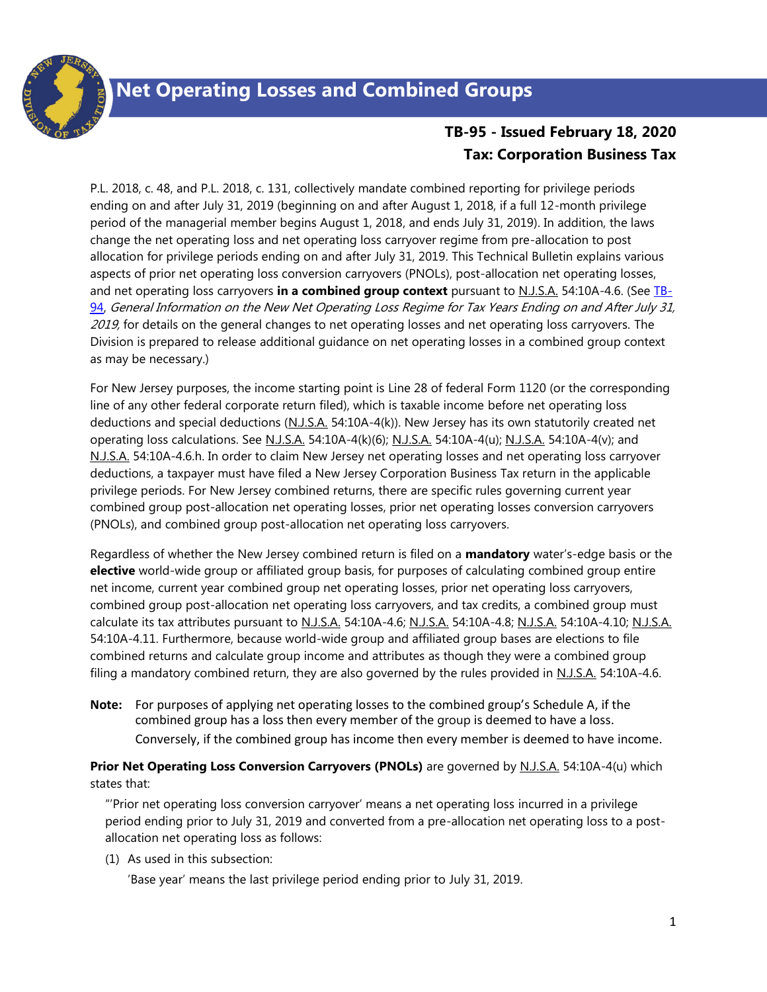

# **TB-95 - Issued February 18, 2020 Tax: Corporation Business Tax**

P.L. 2018, c. 48, and P.L. 2018, c. 131, collectively mandate combined reporting for privilege periods ending on and after July 31, 2019 (beginning on and after August 1, 2018, if a full 12-month privilege period of the managerial member begins August 1, 2018, and ends July 31, 2019). In addition, the laws change the net operating loss and net operating loss carryover regime from pre-allocation to post allocation for privilege periods ending on and after July 31, 2019. This Technical Bulletin explains various aspects of prior net operating loss conversion carryovers (PNOLs), post-allocation net operating losses, and net operating loss carryovers **in a combined group context** pursuant to N.J.S.A. 54:10A-4.6. (See [TB-](https://www.state.nj.us/treasury/taxation/pdf/pubs/tb/tb94.pdf)[94,](https://www.state.nj.us/treasury/taxation/pdf/pubs/tb/tb94.pdf) General Information on the New Net Operating Loss Regime for Tax Years Ending on and After July 31, 2019, for details on the general changes to net operating losses and net operating loss carryovers. The Division is prepared to release additional guidance on net operating losses in a combined group context as may be necessary.)

For New Jersey purposes, the income starting point is Line 28 of federal Form 1120 (or the corresponding line of any other federal corporate return filed), which is taxable income before net operating loss deductions and special deductions (N.J.S.A. 54:10A-4(k)). New Jersey has its own statutorily created net operating loss calculations. See N.J.S.A. 54:10A-4(k)(6); N.J.S.A. 54:10A-4(u); N.J.S.A. 54:10A-4(v); and N.J.S.A. 54:10A-4.6.h. In order to claim New Jersey net operating losses and net operating loss carryover deductions, a taxpayer must have filed a New Jersey Corporation Business Tax return in the applicable privilege periods. For New Jersey combined returns, there are specific rules governing current year combined group post-allocation net operating losses, prior net operating losses conversion carryovers (PNOLs), and combined group post-allocation net operating loss carryovers.

Regardless of whether the New Jersey combined return is filed on a **mandatory** water's-edge basis or the **elective** world-wide group or affiliated group basis, for purposes of calculating combined group entire net income, current year combined group net operating losses, prior net operating loss carryovers, combined group post-allocation net operating loss carryovers, and tax credits, a combined group must calculate its tax attributes pursuant to N.J.S.A. 54:10A-4.6; N.J.S.A. 54:10A-4.8; N.J.S.A. 54:10A-4.10; N.J.S.A. 54:10A-4.11. Furthermore, because world-wide group and affiliated group bases are elections to file combined returns and calculate group income and attributes as though they were a combined group filing a mandatory combined return, they are also governed by the rules provided in N.J.S.A. 54:10A-4.6.

**Note:** For purposes of applying net operating losses to the combined group's Schedule A, if the combined group has a loss then every member of the group is deemed to have a loss. Conversely, if the combined group has income then every member is deemed to have income.

### **Prior Net Operating Loss Conversion Carryovers (PNOLs)** are governed by N.J.S.A. 54:10A-4(u) which states that:

"'Prior net operating loss conversion carryover' means a net operating loss incurred in a privilege period ending prior to July 31, 2019 and converted from a pre-allocation net operating loss to a postallocation net operating loss as follows:

(1) As used in this subsection:

'Base year' means the last privilege period ending prior to July 31, 2019.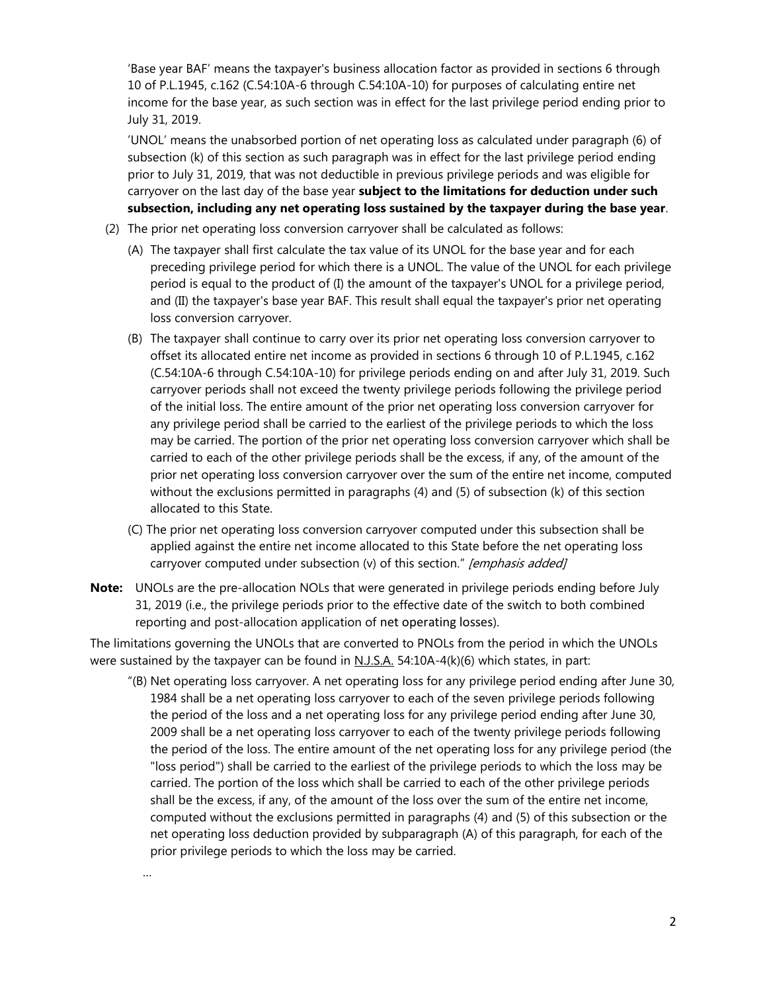'Base year BAF' means the taxpayer's business allocation factor as provided in sections 6 through 10 of P.L.1945, c.162 (C.54:10A-6 through C.54:10A-10) for purposes of calculating entire net income for the base year, as such section was in effect for the last privilege period ending prior to July 31, 2019.

'UNOL' means the unabsorbed portion of net operating loss as calculated under paragraph (6) of subsection (k) of this section as such paragraph was in effect for the last privilege period ending prior to July 31, 2019, that was not deductible in previous privilege periods and was eligible for carryover on the last day of the base year **subject to the limitations for deduction under such subsection, including any net operating loss sustained by the taxpayer during the base year**.

- (2) The prior net operating loss conversion carryover shall be calculated as follows:
	- (A) The taxpayer shall first calculate the tax value of its UNOL for the base year and for each preceding privilege period for which there is a UNOL. The value of the UNOL for each privilege period is equal to the product of (I) the amount of the taxpayer's UNOL for a privilege period, and (II) the taxpayer's base year BAF. This result shall equal the taxpayer's prior net operating loss conversion carryover.
	- (B) The taxpayer shall continue to carry over its prior net operating loss conversion carryover to offset its allocated entire net income as provided in sections 6 through 10 of P.L.1945, c.162 (C.54:10A-6 through C.54:10A-10) for privilege periods ending on and after July 31, 2019. Such carryover periods shall not exceed the twenty privilege periods following the privilege period of the initial loss. The entire amount of the prior net operating loss conversion carryover for any privilege period shall be carried to the earliest of the privilege periods to which the loss may be carried. The portion of the prior net operating loss conversion carryover which shall be carried to each of the other privilege periods shall be the excess, if any, of the amount of the prior net operating loss conversion carryover over the sum of the entire net income, computed without the exclusions permitted in paragraphs (4) and (5) of subsection (k) of this section allocated to this State.
	- (C) The prior net operating loss conversion carryover computed under this subsection shall be applied against the entire net income allocated to this State before the net operating loss carryover computed under subsection (v) of this section." [emphasis added]
- **Note:** UNOLs are the pre-allocation NOLs that were generated in privilege periods ending before July 31, 2019 (i.e., the privilege periods prior to the effective date of the switch to both combined reporting and post-allocation application of net operating losses).

The limitations governing the UNOLs that are converted to PNOLs from the period in which the UNOLs were sustained by the taxpayer can be found in N.J.S.A. 54:10A-4(k)(6) which states, in part:

…

"(B) Net operating loss carryover. A net operating loss for any privilege period ending after June 30, 1984 shall be a net operating loss carryover to each of the seven privilege periods following the period of the loss and a net operating loss for any privilege period ending after June 30, 2009 shall be a net operating loss carryover to each of the twenty privilege periods following the period of the loss. The entire amount of the net operating loss for any privilege period (the "loss period") shall be carried to the earliest of the privilege periods to which the loss may be carried. The portion of the loss which shall be carried to each of the other privilege periods shall be the excess, if any, of the amount of the loss over the sum of the entire net income, computed without the exclusions permitted in paragraphs (4) and (5) of this subsection or the net operating loss deduction provided by subparagraph (A) of this paragraph, for each of the prior privilege periods to which the loss may be carried.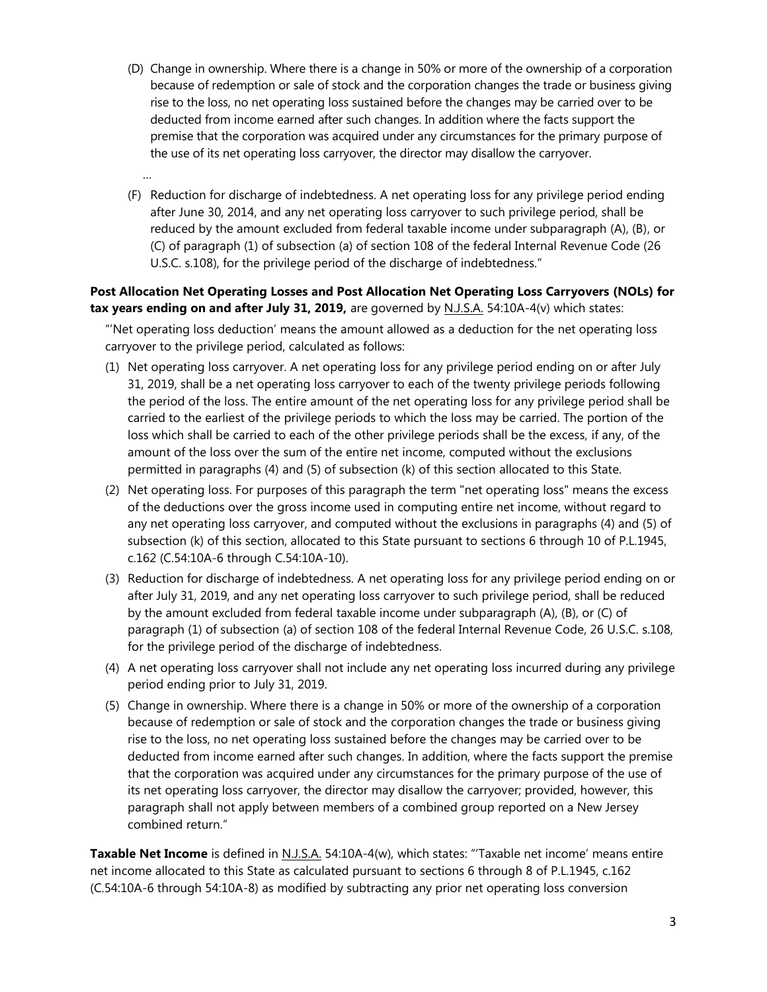- (D) Change in ownership. Where there is a change in 50% or more of the ownership of a corporation because of redemption or sale of stock and the corporation changes the trade or business giving rise to the loss, no net operating loss sustained before the changes may be carried over to be deducted from income earned after such changes. In addition where the facts support the premise that the corporation was acquired under any circumstances for the primary purpose of the use of its net operating loss carryover, the director may disallow the carryover.
- (F) Reduction for discharge of indebtedness. A net operating loss for any privilege period ending after June 30, 2014, and any net operating loss carryover to such privilege period, shall be reduced by the amount excluded from federal taxable income under subparagraph (A), (B), or (C) of paragraph (1) of subsection (a) of section 108 of the federal Internal Revenue Code (26 U.S.C. s.108), for the privilege period of the discharge of indebtedness."

### **Post Allocation Net Operating Losses and Post Allocation Net Operating Loss Carryovers (NOLs) for tax years ending on and after July 31, 2019,** are governed by **N.J.S.A.** 54:10A-4(v) which states:

…

"'Net operating loss deduction' means the amount allowed as a deduction for the net operating loss carryover to the privilege period, calculated as follows:

- (1) Net operating loss carryover. A net operating loss for any privilege period ending on or after July 31, 2019, shall be a net operating loss carryover to each of the twenty privilege periods following the period of the loss. The entire amount of the net operating loss for any privilege period shall be carried to the earliest of the privilege periods to which the loss may be carried. The portion of the loss which shall be carried to each of the other privilege periods shall be the excess, if any, of the amount of the loss over the sum of the entire net income, computed without the exclusions permitted in paragraphs (4) and (5) of subsection (k) of this section allocated to this State.
- (2) Net operating loss. For purposes of this paragraph the term "net operating loss" means the excess of the deductions over the gross income used in computing entire net income, without regard to any net operating loss carryover, and computed without the exclusions in paragraphs (4) and (5) of subsection (k) of this section, allocated to this State pursuant to sections 6 through 10 of P.L.1945, c.162 (C.54:10A-6 through C.54:10A-10).
- (3) Reduction for discharge of indebtedness. A net operating loss for any privilege period ending on or after July 31, 2019, and any net operating loss carryover to such privilege period, shall be reduced by the amount excluded from federal taxable income under subparagraph (A), (B), or (C) of paragraph (1) of subsection (a) of section 108 of the federal Internal Revenue Code, 26 U.S.C. s.108, for the privilege period of the discharge of indebtedness.
- (4) A net operating loss carryover shall not include any net operating loss incurred during any privilege period ending prior to July 31, 2019.
- (5) Change in ownership. Where there is a change in 50% or more of the ownership of a corporation because of redemption or sale of stock and the corporation changes the trade or business giving rise to the loss, no net operating loss sustained before the changes may be carried over to be deducted from income earned after such changes. In addition, where the facts support the premise that the corporation was acquired under any circumstances for the primary purpose of the use of its net operating loss carryover, the director may disallow the carryover; provided, however, this paragraph shall not apply between members of a combined group reported on a New Jersey combined return."

Taxable Net Income is defined in N.J.S.A. 54:10A-4(w), which states: "Taxable net income' means entire net income allocated to this State as calculated pursuant to sections 6 through 8 of P.L.1945, c.162 (C.54:10A-6 through 54:10A-8) as modified by subtracting any prior net operating loss conversion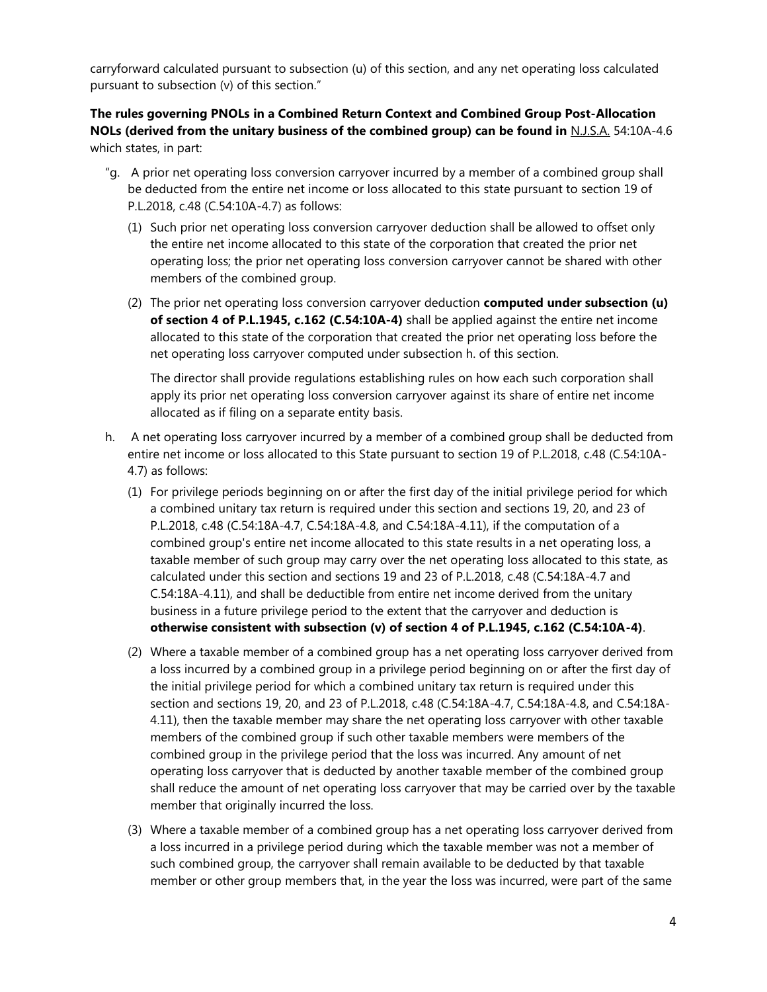carryforward calculated pursuant to subsection (u) of this section, and any net operating loss calculated pursuant to subsection (v) of this section."

**The rules governing PNOLs in a Combined Return Context and Combined Group Post-Allocation NOLs (derived from the unitary business of the combined group) can be found in <b>N.J.S.A.** 54:10A-4.6 which states, in part:

- "g. A prior net operating loss conversion carryover incurred by a member of a combined group shall be deducted from the entire net income or loss allocated to this state pursuant to section 19 of P.L.2018, c.48 (C.54:10A-4.7) as follows:
	- (1) Such prior net operating loss conversion carryover deduction shall be allowed to offset only the entire net income allocated to this state of the corporation that created the prior net operating loss; the prior net operating loss conversion carryover cannot be shared with other members of the combined group.
	- (2) The prior net operating loss conversion carryover deduction **computed under subsection (u) of section 4 of P.L.1945, c.162 (C.54:10A-4)** shall be applied against the entire net income allocated to this state of the corporation that created the prior net operating loss before the net operating loss carryover computed under subsection h. of this section.

The director shall provide regulations establishing rules on how each such corporation shall apply its prior net operating loss conversion carryover against its share of entire net income allocated as if filing on a separate entity basis.

- h. A net operating loss carryover incurred by a member of a combined group shall be deducted from entire net income or loss allocated to this State pursuant to section 19 of P.L.2018, c.48 (C.54:10A-4.7) as follows:
	- (1) For privilege periods beginning on or after the first day of the initial privilege period for which a combined unitary tax return is required under this section and sections 19, 20, and 23 of P.L.2018, c.48 (C.54:18A-4.7, C.54:18A-4.8, and C.54:18A-4.11), if the computation of a combined group's entire net income allocated to this state results in a net operating loss, a taxable member of such group may carry over the net operating loss allocated to this state, as calculated under this section and sections 19 and 23 of P.L.2018, c.48 (C.54:18A-4.7 and C.54:18A-4.11), and shall be deductible from entire net income derived from the unitary business in a future privilege period to the extent that the carryover and deduction is **otherwise consistent with subsection (v) of section 4 of P.L.1945, c.162 (C.54:10A-4)**.
	- (2) Where a taxable member of a combined group has a net operating loss carryover derived from a loss incurred by a combined group in a privilege period beginning on or after the first day of the initial privilege period for which a combined unitary tax return is required under this section and sections 19, 20, and 23 of P.L.2018, c.48 (C.54:18A-4.7, C.54:18A-4.8, and C.54:18A-4.11), then the taxable member may share the net operating loss carryover with other taxable members of the combined group if such other taxable members were members of the combined group in the privilege period that the loss was incurred. Any amount of net operating loss carryover that is deducted by another taxable member of the combined group shall reduce the amount of net operating loss carryover that may be carried over by the taxable member that originally incurred the loss.
	- (3) Where a taxable member of a combined group has a net operating loss carryover derived from a loss incurred in a privilege period during which the taxable member was not a member of such combined group, the carryover shall remain available to be deducted by that taxable member or other group members that, in the year the loss was incurred, were part of the same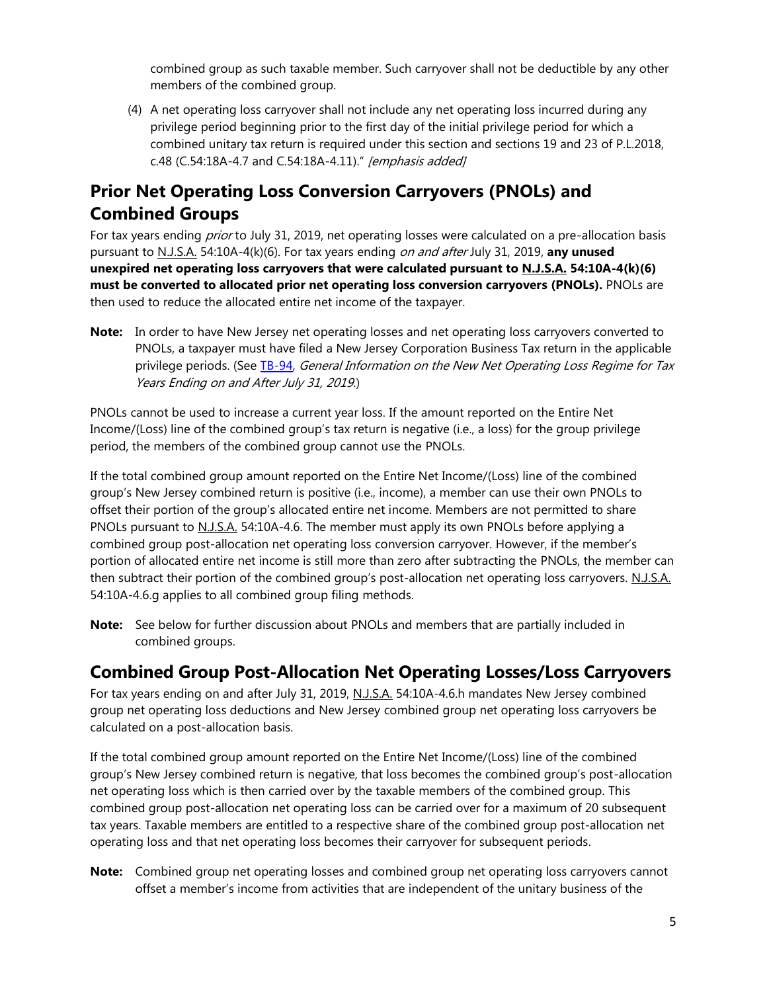combined group as such taxable member. Such carryover shall not be deductible by any other members of the combined group.

(4) A net operating loss carryover shall not include any net operating loss incurred during any privilege period beginning prior to the first day of the initial privilege period for which a combined unitary tax return is required under this section and sections 19 and 23 of P.L.2018, c.48 (C.54:18A-4.7 and C.54:18A-4.11)." [emphasis added]

# **Prior Net Operating Loss Conversion Carryovers (PNOLs) and Combined Groups**

For tax years ending *prior* to July 31, 2019, net operating losses were calculated on a pre-allocation basis pursuant to N.J.S.A. 54:10A-4(k)(6). For tax years ending on and after July 31, 2019, **any unused unexpired net operating loss carryovers that were calculated pursuant to N.J.S.A. 54:10A-4(k)(6) must be converted to allocated prior net operating loss conversion carryovers (PNOLs).** PNOLs are then used to reduce the allocated entire net income of the taxpayer.

**Note:** In order to have New Jersey net operating losses and net operating loss carryovers converted to PNOLs, a taxpayer must have filed a New Jersey Corporation Business Tax return in the applicable privilege periods. (See [TB-94,](https://www.state.nj.us/treasury/taxation/pdf/pubs/tb/tb94.pdf) General Information on the New Net Operating Loss Regime for Tax Years Ending on and After July 31, 2019.)

PNOLs cannot be used to increase a current year loss. If the amount reported on the Entire Net Income/(Loss) line of the combined group's tax return is negative (i.e., a loss) for the group privilege period, the members of the combined group cannot use the PNOLs.

If the total combined group amount reported on the Entire Net Income/(Loss) line of the combined group's New Jersey combined return is positive (i.e., income), a member can use their own PNOLs to offset their portion of the group's allocated entire net income. Members are not permitted to share PNOLs pursuant to N.J.S.A. 54:10A-4.6. The member must apply its own PNOLs before applying a combined group post-allocation net operating loss conversion carryover. However, if the member's portion of allocated entire net income is still more than zero after subtracting the PNOLs, the member can then subtract their portion of the combined group's post-allocation net operating loss carryovers. N.J.S.A. 54:10A-4.6.g applies to all combined group filing methods.

**Note:** See below for further discussion about PNOLs and members that are partially included in combined groups.

### **Combined Group Post-Allocation Net Operating Losses/Loss Carryovers**

For tax years ending on and after July 31, 2019, N.J.S.A. 54:10A-4.6.h mandates New Jersey combined group net operating loss deductions and New Jersey combined group net operating loss carryovers be calculated on a post-allocation basis.

If the total combined group amount reported on the Entire Net Income/(Loss) line of the combined group's New Jersey combined return is negative, that loss becomes the combined group's post-allocation net operating loss which is then carried over by the taxable members of the combined group. This combined group post-allocation net operating loss can be carried over for a maximum of 20 subsequent tax years. Taxable members are entitled to a respective share of the combined group post-allocation net operating loss and that net operating loss becomes their carryover for subsequent periods.

**Note:** Combined group net operating losses and combined group net operating loss carryovers cannot offset a member's income from activities that are independent of the unitary business of the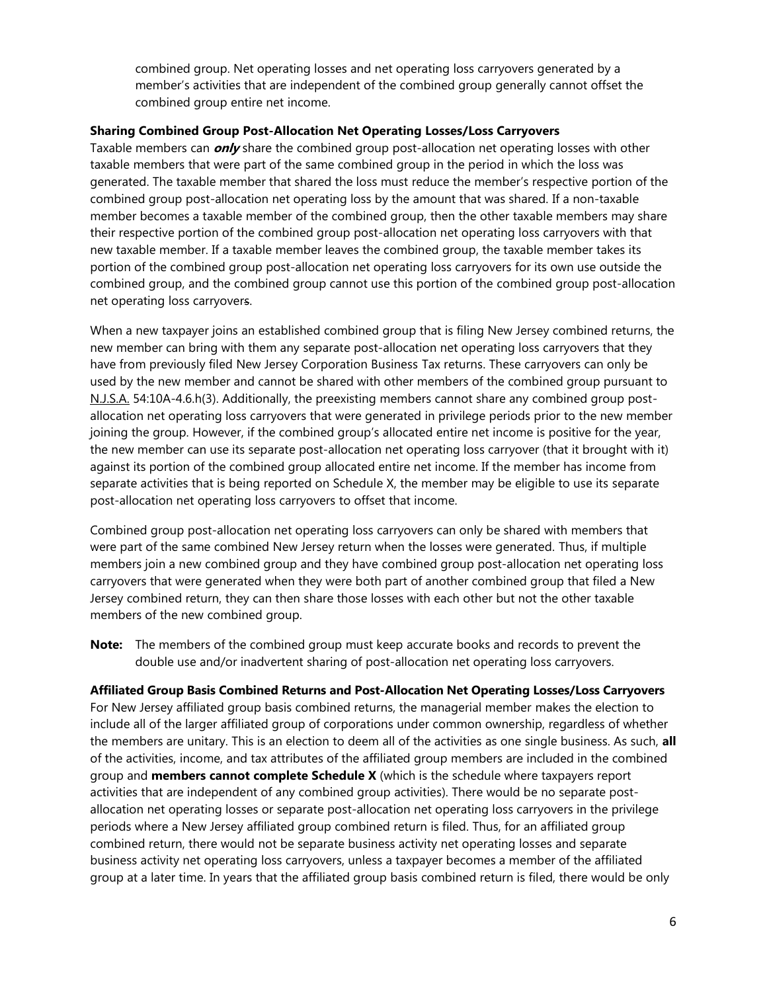combined group. Net operating losses and net operating loss carryovers generated by a member's activities that are independent of the combined group generally cannot offset the combined group entire net income.

### **Sharing Combined Group Post-Allocation Net Operating Losses/Loss Carryovers**

Taxable members can **only** share the combined group post-allocation net operating losses with other taxable members that were part of the same combined group in the period in which the loss was generated. The taxable member that shared the loss must reduce the member's respective portion of the combined group post-allocation net operating loss by the amount that was shared. If a non-taxable member becomes a taxable member of the combined group, then the other taxable members may share their respective portion of the combined group post-allocation net operating loss carryovers with that new taxable member. If a taxable member leaves the combined group, the taxable member takes its portion of the combined group post-allocation net operating loss carryovers for its own use outside the combined group, and the combined group cannot use this portion of the combined group post-allocation net operating loss carryovers.

When a new taxpayer joins an established combined group that is filing New Jersey combined returns, the new member can bring with them any separate post-allocation net operating loss carryovers that they have from previously filed New Jersey Corporation Business Tax returns. These carryovers can only be used by the new member and cannot be shared with other members of the combined group pursuant to N.J.S.A. 54:10A-4.6.h(3). Additionally, the preexisting members cannot share any combined group postallocation net operating loss carryovers that were generated in privilege periods prior to the new member joining the group. However, if the combined group's allocated entire net income is positive for the year, the new member can use its separate post-allocation net operating loss carryover (that it brought with it) against its portion of the combined group allocated entire net income. If the member has income from separate activities that is being reported on Schedule X, the member may be eligible to use its separate post-allocation net operating loss carryovers to offset that income.

Combined group post-allocation net operating loss carryovers can only be shared with members that were part of the same combined New Jersey return when the losses were generated. Thus, if multiple members join a new combined group and they have combined group post-allocation net operating loss carryovers that were generated when they were both part of another combined group that filed a New Jersey combined return, they can then share those losses with each other but not the other taxable members of the new combined group.

**Note:** The members of the combined group must keep accurate books and records to prevent the double use and/or inadvertent sharing of post-allocation net operating loss carryovers.

#### **Affiliated Group Basis Combined Returns and Post-Allocation Net Operating Losses/Loss Carryovers**

For New Jersey affiliated group basis combined returns, the managerial member makes the election to include all of the larger affiliated group of corporations under common ownership, regardless of whether the members are unitary. This is an election to deem all of the activities as one single business. As such, **all** of the activities, income, and tax attributes of the affiliated group members are included in the combined group and **members cannot complete Schedule X** (which is the schedule where taxpayers report activities that are independent of any combined group activities). There would be no separate postallocation net operating losses or separate post-allocation net operating loss carryovers in the privilege periods where a New Jersey affiliated group combined return is filed. Thus, for an affiliated group combined return, there would not be separate business activity net operating losses and separate business activity net operating loss carryovers, unless a taxpayer becomes a member of the affiliated group at a later time. In years that the affiliated group basis combined return is filed, there would be only